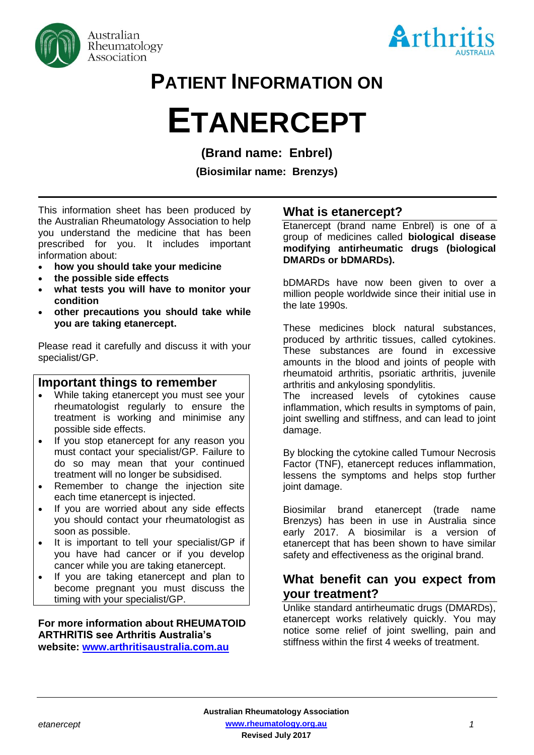



# **PATIENT INFORMATION ON**

# **ETANERCEPT**

**(Brand name: Enbrel)**

**(Biosimilar name: Brenzys)**

This information sheet has been produced by the Australian Rheumatology Association to help you understand the medicine that has been prescribed for you. It includes important information about:

- **how you should take your medicine**
- **the possible side effects**
- **what tests you will have to monitor your condition**
- **other precautions you should take while you are taking etanercept.**

Please read it carefully and discuss it with your specialist/GP.

# **Important things to remember**

- While taking etanercept you must see your rheumatologist regularly to ensure the treatment is working and minimise any possible side effects.
- If you stop etanercept for any reason you must contact your specialist/GP. Failure to do so may mean that your continued treatment will no longer be subsidised.
- Remember to change the injection site each time etanercept is injected.
- If you are worried about any side effects you should contact your rheumatologist as soon as possible.
- It is important to tell your specialist/GP if you have had cancer or if you develop cancer while you are taking etanercept.
- If you are taking etanercept and plan to become pregnant you must discuss the timing with your specialist/GP.

#### **For more information about RHEUMATOID ARTHRITIS see Arthritis Australia's website: [www.arthritisaustralia.com.au](http://www.arthritisaustralia.com.au/)**

# **What is etanercept?**

Etanercept (brand name Enbrel) is one of a group of medicines called **biological disease modifying antirheumatic drugs (biological DMARDs or bDMARDs).** 

bDMARDs have now been given to over a million people worldwide since their initial use in the late 1990s.

These medicines block natural substances, produced by arthritic tissues, called cytokines. These substances are found in excessive amounts in the blood and joints of people with rheumatoid arthritis, psoriatic arthritis, juvenile arthritis and ankylosing spondylitis.

The increased levels of cytokines cause inflammation, which results in symptoms of pain, joint swelling and stiffness, and can lead to joint damage.

By blocking the cytokine called Tumour Necrosis Factor (TNF), etanercept reduces inflammation, lessens the symptoms and helps stop further joint damage.

Biosimilar brand etanercept (trade name Brenzys) has been in use in Australia since early 2017. A biosimilar is a version of etanercept that has been shown to have similar safety and effectiveness as the original brand.

# **What benefit can you expect from your treatment?**

Unlike standard antirheumatic drugs (DMARDs), etanercept works relatively quickly. You may notice some relief of joint swelling, pain and stiffness within the first 4 weeks of treatment.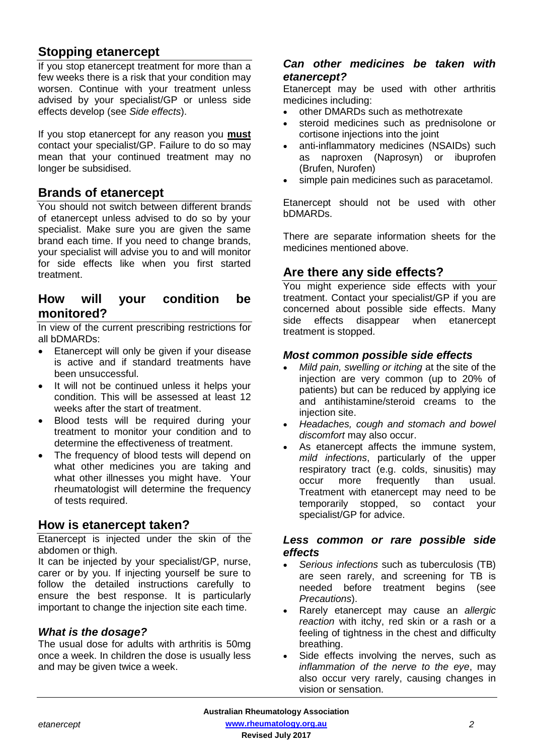# **Stopping etanercept**

If you stop etanercept treatment for more than a few weeks there is a risk that your condition may worsen. Continue with your treatment unless advised by your specialist/GP or unless side effects develop (see *Side effects*).

If you stop etanercept for any reason you **must** contact your specialist/GP. Failure to do so may mean that your continued treatment may no longer be subsidised.

# **Brands of etanercept**

You should not switch between different brands of etanercept unless advised to do so by your specialist. Make sure you are given the same brand each time. If you need to change brands, your specialist will advise you to and will monitor for side effects like when you first started treatment.

# **How will your condition be monitored?**

In view of the current prescribing restrictions for all bDMARDs:

- Etanercept will only be given if your disease is active and if standard treatments have been unsuccessful.
- It will not be continued unless it helps your condition. This will be assessed at least 12 weeks after the start of treatment.
- Blood tests will be required during your treatment to monitor your condition and to determine the effectiveness of treatment.
- The frequency of blood tests will depend on what other medicines you are taking and what other illnesses you might have. Your rheumatologist will determine the frequency of tests required.

# **How is etanercept taken?**

Etanercept is injected under the skin of the abdomen or thigh.

It can be injected by your specialist/GP, nurse, carer or by you. If injecting yourself be sure to follow the detailed instructions carefully to ensure the best response. It is particularly important to change the injection site each time.

# *What is the dosage?*

The usual dose for adults with arthritis is 50mg once a week. In children the dose is usually less and may be given twice a week.

# *Can other medicines be taken with etanercept?*

Etanercept may be used with other arthritis medicines including:

- other DMARDs such as methotrexate
- steroid medicines such as prednisolone or cortisone injections into the joint
- anti-inflammatory medicines (NSAIDs) such as naproxen (Naprosyn) or ibuprofen (Brufen, Nurofen)
- simple pain medicines such as paracetamol.

Etanercept should not be used with other bDMARDs.

There are separate information sheets for the medicines mentioned above.

# **Are there any side effects?**

You might experience side effects with your treatment. Contact your specialist/GP if you are concerned about possible side effects. Many side effects disappear when etanercept treatment is stopped.

# *Most common possible side effects*

- *Mild pain, swelling or itching* at the site of the injection are very common (up to 20% of patients) but can be reduced by applying ice and antihistamine/steroid creams to the injection site.
- *Headaches, cough and stomach and bowel discomfort* may also occur.
- As etanercept affects the immune system, *mild infections*, particularly of the upper respiratory tract (e.g. colds, sinusitis) may occur more frequently than usual. Treatment with etanercept may need to be temporarily stopped, so contact your specialist/GP for advice.

# *Less common or rare possible side effects*

- *Serious infections* such as tuberculosis (TB) are seen rarely, and screening for TB is needed before treatment begins (see *Precautions*).
- Rarely etanercept may cause an *allergic reaction* with itchy, red skin or a rash or a feeling of tightness in the chest and difficulty breathing.
- Side effects involving the nerves, such as *inflammation of the nerve to the eye*, may also occur very rarely, causing changes in vision or sensation.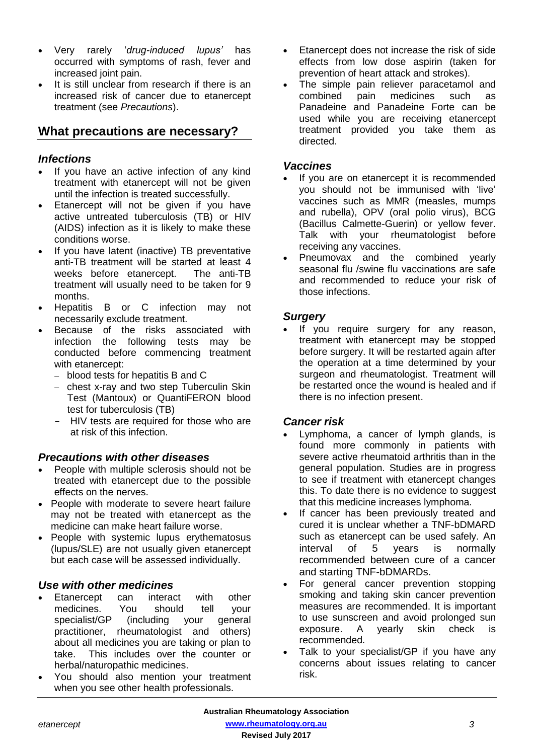- Very rarely '*drug-induced lupus'* has occurred with symptoms of rash, fever and increased joint pain.
- It is still unclear from research if there is an increased risk of cancer due to etanercept treatment (see *Precautions*).

# **What precautions are necessary?**

# *Infections*

- If you have an active infection of any kind treatment with etanercept will not be given until the infection is treated successfully.
- Etanercept will not be given if you have active untreated tuberculosis (TB) or HIV (AIDS) infection as it is likely to make these conditions worse.
- If you have latent (inactive) TB preventative anti-TB treatment will be started at least 4 weeks before etanercept. The anti-TB treatment will usually need to be taken for 9 months.
- Hepatitis B or C infection may not necessarily exclude treatment.
- Because of the risks associated with infection the following tests may be conducted before commencing treatment with etanercept:
	- blood tests for hepatitis B and C
	- chest x-ray and two step Tuberculin Skin Test (Mantoux) or QuantiFERON blood test for tuberculosis (TB)
	- HIV tests are required for those who are at risk of this infection.

# *Precautions with other diseases*

- People with multiple sclerosis should not be treated with etanercept due to the possible effects on the nerves.
- People with moderate to severe heart failure may not be treated with etanercept as the medicine can make heart failure worse.
- People with systemic lupus erythematosus (lupus/SLE) are not usually given etanercept but each case will be assessed individually.

# *Use with other medicines*

- Etanercept can interact with other medicines. You should tell your<br>specialist/GP (including your general specialist/GP (including your general practitioner, rheumatologist and others) about all medicines you are taking or plan to take. This includes over the counter or herbal/naturopathic medicines.
- You should also mention your treatment when you see other health professionals.
- Etanercept does not increase the risk of side effects from low dose aspirin (taken for prevention of heart attack and strokes).
- The simple pain reliever paracetamol and combined pain medicines such as Panadeine and Panadeine Forte can be used while you are receiving etanercept treatment provided you take them as directed.

#### *Vaccines*

- If you are on etanercept it is recommended you should not be immunised with 'live' vaccines such as MMR (measles, mumps and rubella), OPV (oral polio virus), BCG (Bacillus Calmette-Guerin) or yellow fever. Talk with your rheumatologist before receiving any vaccines.
- Pneumovax and the combined vearly seasonal flu /swine flu vaccinations are safe and recommended to reduce your risk of those infections.

# *Surgery*

If you require surgery for any reason, treatment with etanercept may be stopped before surgery. It will be restarted again after the operation at a time determined by your surgeon and rheumatologist. Treatment will be restarted once the wound is healed and if there is no infection present.

# *Cancer risk*

- Lymphoma, a cancer of lymph glands, is found more commonly in patients with severe active rheumatoid arthritis than in the general population. Studies are in progress to see if treatment with etanercept changes this. To date there is no evidence to suggest that this medicine increases lymphoma.
- If cancer has been previously treated and cured it is unclear whether a TNF-bDMARD such as etanercept can be used safely. An interval of 5 years is normally recommended between cure of a cancer and starting TNF-bDMARDs.
- For general cancer prevention stopping smoking and taking skin cancer prevention measures are recommended. It is important to use sunscreen and avoid prolonged sun exposure. A yearly skin check is recommended.
- Talk to your specialist/GP if you have any concerns about issues relating to cancer risk.